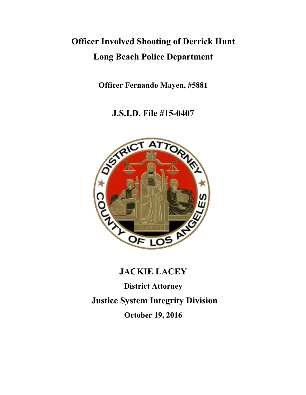# **Officer Involved Shooting of Derrick Hunt Long Beach Police Department**

**Officer Fernando Mayen, #5881**

**J.S.I.D. File #15-0407**



# **JACKIE LACEY**

**District Attorney**

**Justice System Integrity Division**

**October 19, 2016**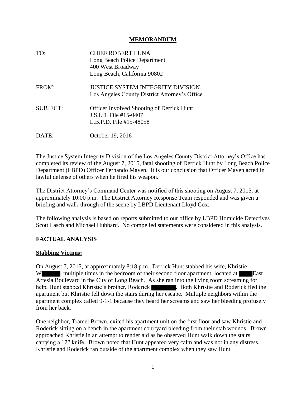#### **MEMORANDUM**

| TO:             | <b>CHIEF ROBERT LUNA</b><br>Long Beach Police Department<br>400 West Broadway<br>Long Beach, California 90802 |
|-----------------|---------------------------------------------------------------------------------------------------------------|
| FROM:           | <b>JUSTICE SYSTEM INTEGRITY DIVISION</b><br>Los Angeles County District Attorney's Office                     |
| <b>SUBJECT:</b> | <b>Officer Involved Shooting of Derrick Hunt</b><br>J.S.I.D. File #15-0407<br>L.B.P.D. File #15-48058         |
| DATE:           | October 19, 2016                                                                                              |

The Justice System Integrity Division of the Los Angeles County District Attorney's Office has completed its review of the August 7, 2015, fatal shooting of Derrick Hunt by Long Beach Police Department (LBPD) Officer Fernando Mayen. It is our conclusion that Officer Mayen acted in lawful defense of others when he fired his weapon.

The District Attorney's Command Center was notified of this shooting on August 7, 2015, at approximately 10:00 p.m. The District Attorney Response Team responded and was given a briefing and walk-through of the scene by LBPD Lieutenant Lloyd Cox.

The following analysis is based on reports submitted to our office by LBPD Homicide Detectives Scott Lasch and Michael Hubbard. No compelled statements were considered in this analysis.

### **FACTUAL ANALYSIS**

### **Stabbing Victims:**

On August 7, 2015, at approximately 8:18 p.m., Derrick Hunt stabbed his wife, Khristie W , multiple times in the bedroom of their second floor apartment, located at **East** Artesia Boulevard in the City of Long Beach. As she ran into the living room screaming for help, Hunt stabbed Khristie's brother, Roderick **Research 2018**. Both Khristie and Roderick fled the apartment but Khristie fell down the stairs during her escape. Multiple neighbors within the apartment complex called 9-1-1 because they heard her screams and saw her bleeding profusely from her back.

One neighbor, Tramel Brown, exited his apartment unit on the first floor and saw Khristie and Roderick sitting on a bench in the apartment courtyard bleeding from their stab wounds. Brown approached Khristie in an attempt to render aid as he observed Hunt walk down the stairs carrying a 12" knife. Brown noted that Hunt appeared very calm and was not in any distress. Khristie and Roderick ran outside of the apartment complex when they saw Hunt.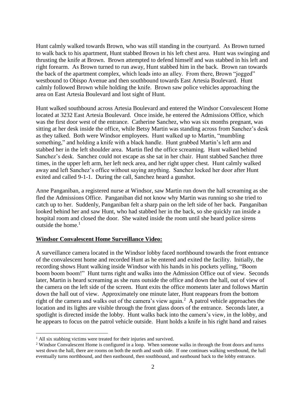Hunt calmly walked towards Brown, who was still standing in the courtyard. As Brown turned to walk back to his apartment, Hunt stabbed Brown in his left chest area. Hunt was swinging and thrusting the knife at Brown. Brown attempted to defend himself and was stabbed in his left and right forearm. As Brown turned to run away, Hunt stabbed him in the back. Brown ran towards the back of the apartment complex, which leads into an alley. From there, Brown "jogged" westbound to Obispo Avenue and then southbound towards East Artesia Boulevard. Hunt calmly followed Brown while holding the knife. Brown saw police vehicles approaching the area on East Artesia Boulevard and lost sight of Hunt.

Hunt walked southbound across Artesia Boulevard and entered the Windsor Convalescent Home located at 3232 East Artesia Boulevard. Once inside, he entered the Admissions Office, which was the first door west of the entrance. Catherine Sanchez, who was six months pregnant, was sitting at her desk inside the office, while Betsy Martin was standing across from Sanchez's desk as they talked. Both were Windsor employees. Hunt walked up to Martin, "mumbling something," and holding a knife with a black handle. Hunt grabbed Martin's left arm and stabbed her in the left shoulder area. Martin fled the office screaming. Hunt walked behind Sanchez's desk. Sanchez could not escape as she sat in her chair. Hunt stabbed Sanchez three times, in the upper left arm, her left neck area, and her right upper chest. Hunt calmly walked away and left Sanchez's office without saying anything. Sanchez locked her door after Hunt exited and called 9-1-1. During the call, Sanchez heard a gunshot.

Anne Panganiban, a registered nurse at Windsor, saw Martin run down the hall screaming as she fled the Admissions Office. Panganiban did not know why Martin was running so she tried to catch up to her. Suddenly, Panganiban felt a sharp pain on the left side of her back. Panganiban looked behind her and saw Hunt, who had stabbed her in the back, so she quickly ran inside a hospital room and closed the door. She waited inside the room until she heard police sirens outside the home.<sup>1</sup>

### **Windsor Convalescent Home Surveillance Video:**

A surveillance camera located in the Windsor lobby faced northbound towards the front entrance of the convalescent home and recorded Hunt as he entered and exited the facility. Initially, the recording shows Hunt walking inside Windsor with his hands in his pockets yelling, "Boom boom boom boom!" Hunt turns right and walks into the Admission Office out of view. Seconds later, Martin is heard screaming as she runs outside the office and down the hall, out of view of the camera on the left side of the screen. Hunt exits the office moments later and follows Martin down the hall out of view. Approximately one minute later, Hunt reappears from the bottom right of the camera and walks out of the camera's view again.<sup>2</sup> A patrol vehicle approaches the location and its lights are visible through the front glass doors of the entrance. Seconds later, a spotlight is directed inside the lobby. Hunt walks back into the camera's view, in the lobby, and he appears to focus on the patrol vehicle outside. Hunt holds a knife in his right hand and raises

 $\overline{a}$ 

<sup>&</sup>lt;sup>1</sup> All six stabbing victims were treated for their injuries and survived.

<sup>&</sup>lt;sup>2</sup> Windsor Convalescent Home is configured in a loop. When someone walks in through the front doors and turns west down the hall, there are rooms on both the north and south side. If one continues walking westbound, the hall eventually turns northbound, and then eastbound, then southbound, and eastbound back to the lobby entrance.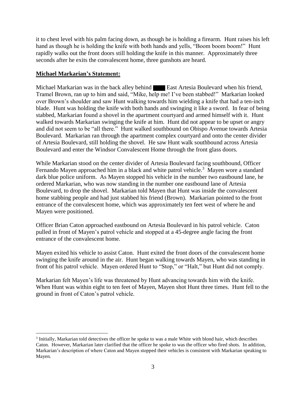it to chest level with his palm facing down, as though he is holding a firearm. Hunt raises his left hand as though he is holding the knife with both hands and yells, "Boom boom boom!" Hunt rapidly walks out the front doors still holding the knife in this manner. Approximately three seconds after he exits the convalescent home, three gunshots are heard.

# **Michael Markarian's Statement:**

 $\overline{a}$ 

Michael Markarian was in the back alley behind East Artesia Boulevard when his friend, Tramel Brown, ran up to him and said, "Mike, help me! I've been stabbed!" Markarian looked over Brown's shoulder and saw Hunt walking towards him wielding a knife that had a ten-inch blade. Hunt was holding the knife with both hands and swinging it like a sword. In fear of being stabbed, Markarian found a shovel in the apartment courtyard and armed himself with it. Hunt walked towards Markarian swinging the knife at him. Hunt did not appear to be upset or angry and did not seem to be "all there." Hunt walked southbound on Obispo Avenue towards Artesia Boulevard. Markarian ran through the apartment complex courtyard and onto the center divider of Artesia Boulevard, still holding the shovel. He saw Hunt walk southbound across Artesia Boulevard and enter the Windsor Convalescent Home through the front glass doors.

While Markarian stood on the center divider of Artesia Boulevard facing southbound, Officer Fernando Mayen approached him in a black and white patrol vehicle.<sup>3</sup> Mayen wore a standard dark blue police uniform. As Mayen stopped his vehicle in the number two eastbound lane, he ordered Markarian, who was now standing in the number one eastbound lane of Artesia Boulevard, to drop the shovel. Markarian told Mayen that Hunt was inside the convalescent home stabbing people and had just stabbed his friend (Brown). Markarian pointed to the front entrance of the convalescent home, which was approximately ten feet west of where he and Mayen were positioned.

Officer Brian Caton approached eastbound on Artesia Boulevard in his patrol vehicle. Caton pulled in front of Mayen's patrol vehicle and stopped at a 45-degree angle facing the front entrance of the convalescent home.

Mayen exited his vehicle to assist Caton. Hunt exited the front doors of the convalescent home swinging the knife around in the air. Hunt began walking towards Mayen, who was standing in front of his patrol vehicle. Mayen ordered Hunt to "Stop," or "Halt," but Hunt did not comply.

Markarian felt Mayen's life was threatened by Hunt advancing towards him with the knife. When Hunt was within eight to ten feet of Mayen, Mayen shot Hunt three times. Hunt fell to the ground in front of Caton's patrol vehicle.

<sup>&</sup>lt;sup>3</sup> Initially, Markarian told detectives the officer he spoke to was a male White with blond hair, which describes Caton. However, Markarian later clarified that the officer he spoke to was the officer who fired shots. In addition, Markarian's description of where Caton and Mayen stopped their vehicles is consistent with Markarian speaking to Mayen.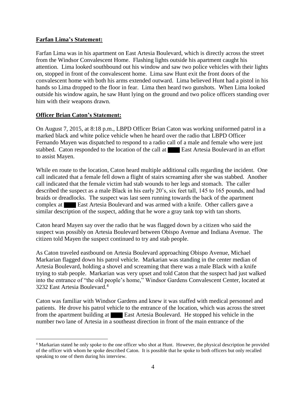# **Farfan Lima's Statement:**

Farfan Lima was in his apartment on East Artesia Boulevard, which is directly across the street from the Windsor Convalescent Home. Flashing lights outside his apartment caught his attention. Lima looked southbound out his window and saw two police vehicles with their lights on, stopped in front of the convalescent home. Lima saw Hunt exit the front doors of the convalescent home with both his arms extended outward. Lima believed Hunt had a pistol in his hands so Lima dropped to the floor in fear. Lima then heard two gunshots. When Lima looked outside his window again, he saw Hunt lying on the ground and two police officers standing over him with their weapons drawn.

# **Officer Brian Caton's Statement:**

 $\overline{a}$ 

On August 7, 2015, at 8:18 p.m., LBPD Officer Brian Caton was working uniformed patrol in a marked black and white police vehicle when he heard over the radio that LBPD Officer Fernando Mayen was dispatched to respond to a radio call of a male and female who were just stabbed. Caton responded to the location of the call at **East Artesia Boulevard in an effort** to assist Mayen.

While en route to the location, Caton heard multiple additional calls regarding the incident. One call indicated that a female fell down a flight of stairs screaming after she was stabbed. Another call indicated that the female victim had stab wounds to her legs and stomach. The caller described the suspect as a male Black in his early 20's, six feet tall, 145 to 165 pounds, and had braids or dreadlocks. The suspect was last seen running towards the back of the apartment complex at East Artesia Boulevard and was armed with a knife. Other callers gave a similar description of the suspect, adding that he wore a gray tank top with tan shorts.

Caton heard Mayen say over the radio that he was flagged down by a citizen who said the suspect was possibly on Artesia Boulevard between Obispo Avenue and Indiana Avenue. The citizen told Mayen the suspect continued to try and stab people.

As Caton traveled eastbound on Artesia Boulevard approaching Obispo Avenue, Michael Markarian flagged down his patrol vehicle. Markarian was standing in the center median of Artesia Boulevard, holding a shovel and screaming that there was a male Black with a knife trying to stab people. Markarian was very upset and told Caton that the suspect had just walked into the entrance of "the old people's home," Windsor Gardens Convalescent Center, located at 3232 East Artesia Boulevard.<sup>4</sup>

Caton was familiar with Windsor Gardens and knew it was staffed with medical personnel and patients. He drove his patrol vehicle to the entrance of the location, which was across the street from the apartment building at East Artesia Boulevard. He stopped his vehicle in the number two lane of Artesia in a southeast direction in front of the main entrance of the

<sup>4</sup> Markarian stated he only spoke to the one officer who shot at Hunt. However, the physical description he provided of the officer with whom he spoke described Caton. It is possible that he spoke to both officers but only recalled speaking to one of them during his interview.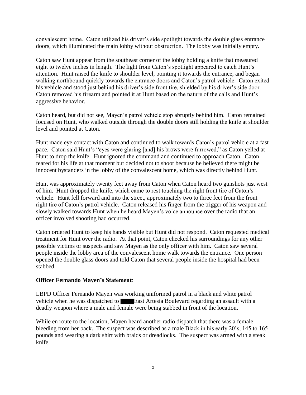convalescent home. Caton utilized his driver's side spotlight towards the double glass entrance doors, which illuminated the main lobby without obstruction. The lobby was initially empty.

Caton saw Hunt appear from the southeast corner of the lobby holding a knife that measured eight to twelve inches in length. The light from Caton's spotlight appeared to catch Hunt's attention. Hunt raised the knife to shoulder level, pointing it towards the entrance, and began walking northbound quickly towards the entrance doors and Caton's patrol vehicle. Caton exited his vehicle and stood just behind his driver's side front tire, shielded by his driver's side door. Caton removed his firearm and pointed it at Hunt based on the nature of the calls and Hunt's aggressive behavior.

Caton heard, but did not see, Mayen's patrol vehicle stop abruptly behind him. Caton remained focused on Hunt, who walked outside through the double doors still holding the knife at shoulder level and pointed at Caton.

Hunt made eye contact with Caton and continued to walk towards Caton's patrol vehicle at a fast pace. Caton said Hunt's "eyes were glaring [and] his brows were furrowed," as Caton yelled at Hunt to drop the knife. Hunt ignored the command and continued to approach Caton. Caton feared for his life at that moment but decided not to shoot because he believed there might be innocent bystanders in the lobby of the convalescent home, which was directly behind Hunt.

Hunt was approximately twenty feet away from Caton when Caton heard two gunshots just west of him. Hunt dropped the knife, which came to rest touching the right front tire of Caton's vehicle. Hunt fell forward and into the street, approximately two to three feet from the front right tire of Caton's patrol vehicle. Caton released his finger from the trigger of his weapon and slowly walked towards Hunt when he heard Mayen's voice announce over the radio that an officer involved shooting had occurred.

Caton ordered Hunt to keep his hands visible but Hunt did not respond. Caton requested medical treatment for Hunt over the radio. At that point, Caton checked his surroundings for any other possible victims or suspects and saw Mayen as the only officer with him. Caton saw several people inside the lobby area of the convalescent home walk towards the entrance. One person opened the double glass doors and told Caton that several people inside the hospital had been stabbed.

# **Officer Fernando Mayen's Statement**:

LBPD Officer Fernando Mayen was working uniformed patrol in a black and white patrol vehicle when he was dispatched to **East Artesia Boulevard regarding an assault with a** deadly weapon where a male and female were being stabbed in front of the location.

While en route to the location, Mayen heard another radio dispatch that there was a female bleeding from her back. The suspect was described as a male Black in his early 20's, 145 to 165 pounds and wearing a dark shirt with braids or dreadlocks. The suspect was armed with a steak knife.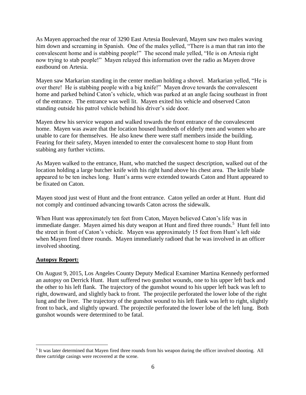As Mayen approached the rear of 3290 East Artesia Boulevard, Mayen saw two males waving him down and screaming in Spanish. One of the males yelled, "There is a man that ran into the convalescent home and is stabbing people!" The second male yelled, "He is on Artesia right now trying to stab people!" Mayen relayed this information over the radio as Mayen drove eastbound on Artesia.

Mayen saw Markarian standing in the center median holding a shovel. Markarian yelled, "He is over there! He is stabbing people with a big knife!" Mayen drove towards the convalescent home and parked behind Caton's vehicle, which was parked at an angle facing southeast in front of the entrance. The entrance was well lit. Mayen exited his vehicle and observed Caton standing outside his patrol vehicle behind his driver's side door.

Mayen drew his service weapon and walked towards the front entrance of the convalescent home. Mayen was aware that the location housed hundreds of elderly men and women who are unable to care for themselves. He also knew there were staff members inside the building. Fearing for their safety, Mayen intended to enter the convalescent home to stop Hunt from stabbing any further victims.

As Mayen walked to the entrance, Hunt, who matched the suspect description, walked out of the location holding a large butcher knife with his right hand above his chest area. The knife blade appeared to be ten inches long. Hunt's arms were extended towards Caton and Hunt appeared to be fixated on Caton.

Mayen stood just west of Hunt and the front entrance. Caton yelled an order at Hunt. Hunt did not comply and continued advancing towards Caton across the sidewalk.

When Hunt was approximately ten feet from Caton, Mayen believed Caton's life was in immediate danger. Mayen aimed his duty weapon at Hunt and fired three rounds.<sup>5</sup> Hunt fell into the street in front of Caton's vehicle. Mayen was approximately 15 feet from Hunt's left side when Mayen fired three rounds. Mayen immediately radioed that he was involved in an officer involved shooting.

### **Autopsy Report:**

 $\overline{a}$ 

On August 9, 2015, Los Angeles County Deputy Medical Examiner Martina Kennedy performed an autopsy on Derrick Hunt. Hunt suffered two gunshot wounds, one to his upper left back and the other to his left flank. The trajectory of the gunshot wound to his upper left back was left to right, downward, and slightly back to front. The projectile perforated the lower lobe of the right lung and the liver. The trajectory of the gunshot wound to his left flank was left to right, slightly front to back, and slightly upward. The projectile perforated the lower lobe of the left lung. Both gunshot wounds were determined to be fatal.

<sup>&</sup>lt;sup>5</sup> It was later determined that Mayen fired three rounds from his weapon during the officer involved shooting. All three cartridge casings were recovered at the scene.